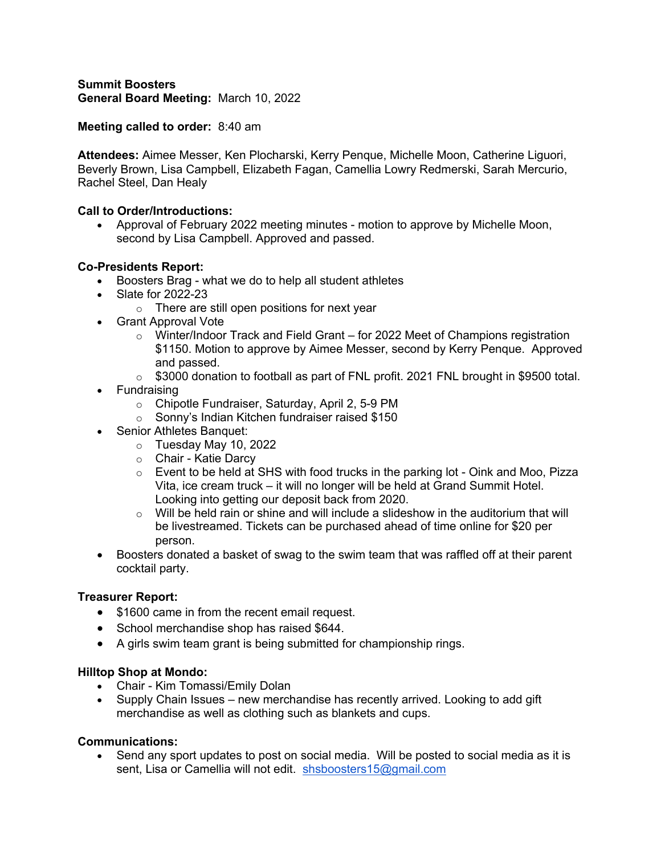# **Meeting called to order:** 8:40 am

**Attendees:** Aimee Messer, Ken Plocharski, Kerry Penque, Michelle Moon, Catherine Liguori, Beverly Brown, Lisa Campbell, Elizabeth Fagan, Camellia Lowry Redmerski, Sarah Mercurio, Rachel Steel, Dan Healy

# **Call to Order/Introductions:**

• Approval of February 2022 meeting minutes - motion to approve by Michelle Moon, second by Lisa Campbell. Approved and passed.

# **Co-Presidents Report:**

- Boosters Brag what we do to help all student athletes
- Slate for 2022-23
	- $\circ$  There are still open positions for next year
- Grant Approval Vote
	- $\circ$  Winter/Indoor Track and Field Grant for 2022 Meet of Champions registration \$1150. Motion to approve by Aimee Messer, second by Kerry Penque. Approved and passed.
	- $\circ$  \$3000 donation to football as part of FNL profit. 2021 FNL brought in \$9500 total.
- Fundraising
	- o Chipotle Fundraiser, Saturday, April 2, 5-9 PM
	- o Sonny's Indian Kitchen fundraiser raised \$150
- Senior Athletes Banquet:
	- o Tuesday May 10, 2022
	- o Chair Katie Darcy
	- $\circ$  Event to be held at SHS with food trucks in the parking lot Oink and Moo, Pizza Vita, ice cream truck – it will no longer will be held at Grand Summit Hotel. Looking into getting our deposit back from 2020.
	- $\circ$  Will be held rain or shine and will include a slideshow in the auditorium that will be livestreamed. Tickets can be purchased ahead of time online for \$20 per person.
- Boosters donated a basket of swag to the swim team that was raffled off at their parent cocktail party.

# **Treasurer Report:**

- \$1600 came in from the recent email request.
- School merchandise shop has raised \$644.
- A girls swim team grant is being submitted for championship rings.

# **Hilltop Shop at Mondo:**

- Chair Kim Tomassi/Emily Dolan
- Supply Chain Issues new merchandise has recently arrived. Looking to add gift merchandise as well as clothing such as blankets and cups.

# **Communications:**

• Send any sport updates to post on social media. Will be posted to social media as it is sent. Lisa or Camellia will not edit. shsboosters15@gmail.com